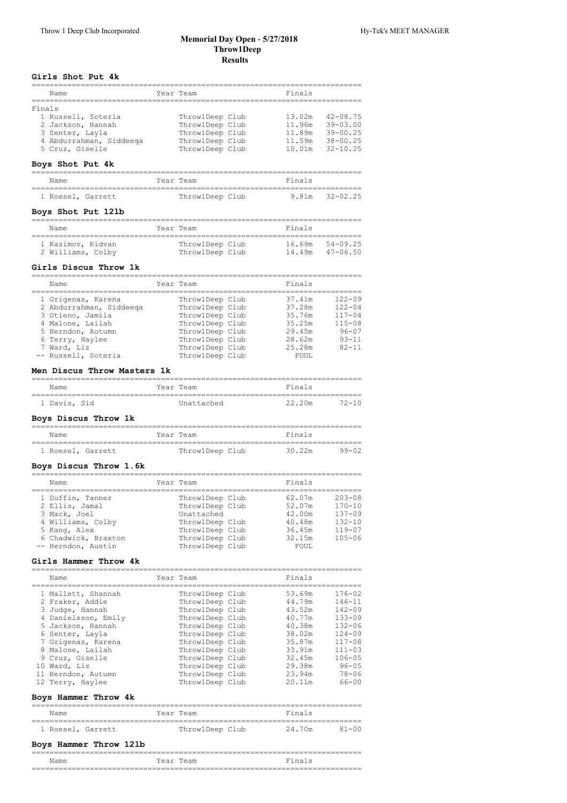### **Memorial Day Open ‑ 5/27/2018 Throw1Deep Results**

### **Girls Shot Put 4k**

|        | Name                    |           | Year Team       | Finals |              |
|--------|-------------------------|-----------|-----------------|--------|--------------|
| Finals |                         |           |                 |        |              |
|        | 1 Russell, Soteria      |           | ThrowlDeep Club | 13.02m | $42 - 08.75$ |
|        | 2 Jackson, Hannah       |           | ThrowlDeep Club | 11.96m | $39 - 03.00$ |
|        | 3 Senter, Layla         |           | ThrowlDeep Club | 11.89m | $39 - 00.25$ |
|        | 4 Abdurrahman, Siddeega |           | ThrowlDeep Club | 11.59m | $38 - 00.25$ |
|        | 5 Cruz, Giselle         |           | Throw1Deep Club | 10.01m | $32 - 10.25$ |
|        | Boys Shot Put 4k        |           |                 |        |              |
|        | Name                    | Year Team |                 | Finals |              |
|        | 1 Roesel, Garrett       |           | ThrowlDeep Club | 9.81m  | $32 - 02.25$ |
|        | Boys Shot Put 121b      |           |                 |        |              |
|        | Name                    | Year Team |                 | Finals |              |
|        | 1 Kazimov, Ridvan       |           | ThrowlDeep Club | 16.69m | $54 - 09.25$ |
|        | 2 Williams, Colby       |           | ThrowlDeep Club | 14.49m | $47 - 06.50$ |
|        |                         |           |                 |        |              |

### **Girls Discus Throw 1k**

| Name                    | Year Team       | Finals |            |
|-------------------------|-----------------|--------|------------|
| 1 Grigenas, Karena      | ThrowlDeep Club | 37.41m | $122 - 09$ |
| 2 Abdurrahman, Siddeega | ThrowlDeep Club | 37.28m | $122 - 04$ |
| 3 Otieno, Jamila        | Throw1Deep Club | 35.76m | $117 - 04$ |
| 4 Malone, Lailah        | Throw1Deep Club | 35.25m | $115 - 08$ |
| 5 Herndon, Autumn       | ThrowlDeep Club | 29.45m | $96 - 07$  |
| 6 Terry, Haylee         | ThrowlDeep Club | 28.62m | $9.3 - 11$ |
| 7 Ward, Liz             | ThrowlDeep Club | 25.28m | $82 - 11$  |
| -- Russell, Soteria     | ThrowlDeep Club | FOUL.  |            |

## **Men Discus Throw Masters 1k**

| Name         | Year Team  | Finals |       |
|--------------|------------|--------|-------|
|              |            |        |       |
| 1 Davis, Sid | Unattached | 22.20m | '2-10 |

# **Boys Discus Throw 1k**

| Name              | Year Team       | Finals          |
|-------------------|-----------------|-----------------|
| 1 Roesel, Garrett | ThrowlDeep Club | 99-02<br>30.22m |

### **Boys Discus Throw 1.6k**

| Finals<br>Year Team<br>Name                                                                                                                                                                                                                                                                                                                                                                                                   |  |
|-------------------------------------------------------------------------------------------------------------------------------------------------------------------------------------------------------------------------------------------------------------------------------------------------------------------------------------------------------------------------------------------------------------------------------|--|
|                                                                                                                                                                                                                                                                                                                                                                                                                               |  |
| $203 - 08$<br>ThrowlDeep Club<br>1 Duffin, Tanner<br>62.07m<br>ThrowlDeep Club<br>$170 - 10$<br>52.07m<br>2 Ellis, Jamal<br>$137 - 09$<br>Unattached<br>3 Mack, Joel<br>42.00m<br>4 Williams, Colby<br>$132 - 10$<br>ThrowlDeep Club<br>40.48m<br>ThrowlDeep Club<br>$119 - 07$<br>36.45m<br>5 Kang, Alex<br>6 Chadwick, Braxton<br>$105 - 06$<br>ThrowlDeep Club<br>32.15m<br>ThrowlDeep Club<br>-- Herndon, Austin<br>FOUL. |  |

## **Girls Hammer Throw 4k**

| Name                                                                                                                                                                                                                       | Year Team                                                                                                                                                                                                     | Finals                                                                                                     |                                                                                                                                                      |
|----------------------------------------------------------------------------------------------------------------------------------------------------------------------------------------------------------------------------|---------------------------------------------------------------------------------------------------------------------------------------------------------------------------------------------------------------|------------------------------------------------------------------------------------------------------------|------------------------------------------------------------------------------------------------------------------------------------------------------|
| 1 Mallett, Shannah<br>2 Fraker, Addie<br>3 Judge, Hannah<br>4 Danielsson, Emily<br>5 Jackson, Hannah<br>6 Senter, Layla<br>7 Grigenas, Karena<br>8 Malone, Lailah<br>9 Cruz, Giselle<br>10 Ward, Liz<br>11 Herndon, Autumn | Throw1Deep Club<br>ThrowlDeep Club<br>Throw1Deep Club<br>Throw1Deep Club<br>Throw1Deep Club<br>Throw1Deep Club<br>ThrowlDeep Club<br>ThrowlDeep Club<br>Throw1Deep Club<br>ThrowlDeep Club<br>Throw1Deep Club | 53.69m<br>44.79m<br>43.52m<br>40.77m<br>40.38m<br>38.02m<br>35.87m<br>33.91m<br>32.45m<br>29.38m<br>23.94m | $176 - 02$<br>$146 - 11$<br>$142 - 09$<br>$133 - 09$<br>$132 - 06$<br>$124 - 09$<br>$117 - 08$<br>$111 - 03$<br>$106 - 05$<br>$96 - 05$<br>$78 - 06$ |
| 12 Terry, Haylee                                                                                                                                                                                                           | ThrowlDeep Club                                                                                                                                                                                               | 20.11m                                                                                                     | $66 - 00$                                                                                                                                            |
| Boys Hammer Throw 4k                                                                                                                                                                                                       |                                                                                                                                                                                                               |                                                                                                            |                                                                                                                                                      |
| Name                                                                                                                                                                                                                       | Year Team                                                                                                                                                                                                     | Finals                                                                                                     |                                                                                                                                                      |
| 1 Roesel, Garrett                                                                                                                                                                                                          | ThrowlDeep Club                                                                                                                                                                                               | 24.70m                                                                                                     | $81 - 00$                                                                                                                                            |
| Boys Hammer Throw 121b                                                                                                                                                                                                     |                                                                                                                                                                                                               |                                                                                                            |                                                                                                                                                      |
| Name                                                                                                                                                                                                                       | Year Team                                                                                                                                                                                                     | Finals                                                                                                     |                                                                                                                                                      |

==========================================================================